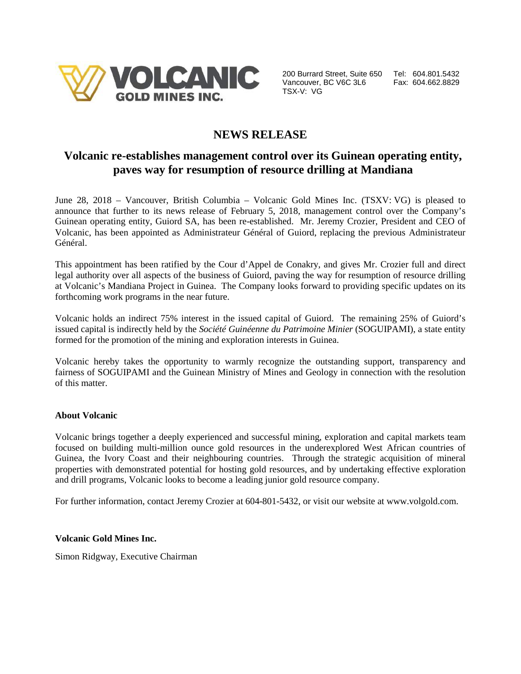

200 Burrard Street, Suite 650 Tel: 604.801.5432 Vancouver, BC V6C 3L6 Fax: 604.662.8829 TSX-V: VG

# **NEWS RELEASE**

## **Volcanic re-establishes management control over its Guinean operating entity, paves way for resumption of resource drilling at Mandiana**

June 28, 2018 – Vancouver, British Columbia – Volcanic Gold Mines Inc. (TSXV: VG) is pleased to announce that further to its news release of February 5, 2018, management control over the Company's Guinean operating entity, Guiord SA, has been re-established. Mr. Jeremy Crozier, President and CEO of Volcanic, has been appointed as Administrateur Général of Guiord, replacing the previous Administrateur Général.

This appointment has been ratified by the Cour d'Appel de Conakry, and gives Mr. Crozier full and direct legal authority over all aspects of the business of Guiord, paving the way for resumption of resource drilling at Volcanic's Mandiana Project in Guinea. The Company looks forward to providing specific updates on its forthcoming work programs in the near future.

Volcanic holds an indirect 75% interest in the issued capital of Guiord. The remaining 25% of Guiord's issued capital is indirectly held by the *Société Guinéenne du Patrimoine Minier* (SOGUIPAMI), a state entity formed for the promotion of the mining and exploration interests in Guinea.

Volcanic hereby takes the opportunity to warmly recognize the outstanding support, transparency and fairness of SOGUIPAMI and the Guinean Ministry of Mines and Geology in connection with the resolution of this matter.

### **About Volcanic**

Volcanic brings together a deeply experienced and successful mining, exploration and capital markets team focused on building multi-million ounce gold resources in the underexplored West African countries of Guinea, the Ivory Coast and their neighbouring countries. Through the strategic acquisition of mineral properties with demonstrated potential for hosting gold resources, and by undertaking effective exploration and drill programs, Volcanic looks to become a leading junior gold resource company.

For further information, contact Jeremy Crozier at 604-801-5432, or visit our website at www.volgold.com.

### **Volcanic Gold Mines Inc.**

Simon Ridgway, Executive Chairman